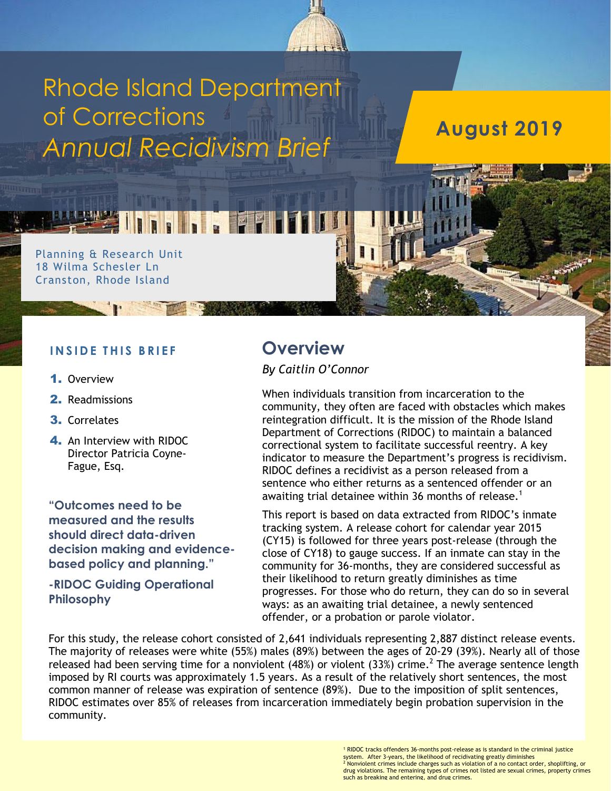

# Rhode Island Department of Corrections *Annual Recidivism Brief*

**August 2019**

#### Planning & Research Unit 18 Wilma Schesler Ln Cranston, Rhode Island

#### **I N S I D E T H I S B R I E F**

- 1. Overview
- 2. Readmissions
- 3. Correlates
- 4. An Interview with RIDOC Director Patricia Coyne-Fague, Esq.

**"Outcomes need to be measured and the results should direct data-driven decision making and evidencebased policy and planning."**

**-RIDOC Guiding Operational Philosophy**

## **Overview**

*By Caitlin O'Connor*

When individuals transition from incarceration to the community, they often are faced with obstacles which makes reintegration difficult. It is the mission of the Rhode Island Department of Corrections (RIDOC) to maintain a balanced correctional system to facilitate successful reentry. A key indicator to measure the Department's progress is recidivism. RIDOC defines a recidivist as a person released from a sentence who either returns as a sentenced offender or an awaiting trial detainee within 36 months of release.<sup>1</sup>

This report is based on data extracted from RIDOC's inmate tracking system. A release cohort for calendar year 2015 (CY15) is followed for three years post-release (through the close of CY18) to gauge success. If an inmate can stay in the community for 36-months, they are considered successful as their likelihood to return greatly diminishes as time progresses. For those who do return, they can do so in several ways: as an awaiting trial detainee, a newly sentenced offender, or a probation or parole violator.

For this study, the release cohort consisted of 2,641 individuals representing 2,887 distinct release events. The majority of releases were white (55%) males (89%) between the ages of 20-29 (39%). Nearly all of those released had been serving time for a nonviolent (48%) or violent (33%) crime.<sup>2</sup> The average sentence length imposed by RI courts was approximately 1.5 years. As a result of the relatively short sentences, the most common manner of release was expiration of sentence (89%). Due to the imposition of split sentences, RIDOC estimates over 85% of releases from incarceration immediately begin probation supervision in the community.

> <sup>1</sup> RIDOC tracks offenders 36-months post-release as is standard in the criminal justice system. After 3-years, the likelihood of recidivating greatly diminishes  $2^{2}$  Nonviolent crimes include charges such as violation of a no contact order, shoplifting, or drug violations. The remaining types of crimes not listed are sexual crimes, property crimes such as breaking and entering, and drug crimes.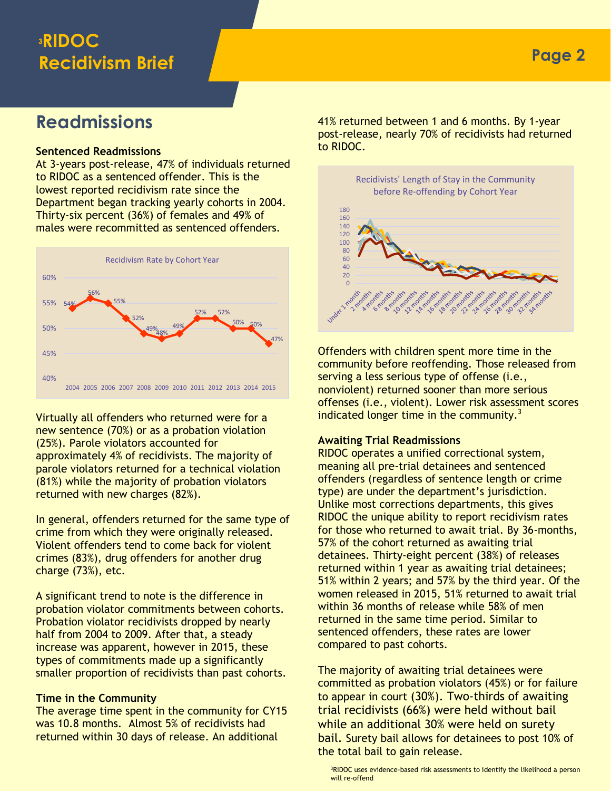### **<sup>3</sup>RIDOC Recidivism Brief**

### **Readmissions**

#### **Sentenced Readmissions**

At 3-years post-release, 47% of individuals returned to RIDOC as a sentenced offender. This is the lowest reported recidivism rate since the Department began tracking yearly cohorts in 2004. Thirty-six percent (36%) of females and 49% of males were recommitted as sentenced offenders.



Virtually all offenders who returned were for a new sentence (70%) or as a probation violation (25%). Parole violators accounted for approximately 4% of recidivists. The majority of parole violators returned for a technical violation (81%) while the majority of probation violators returned with new charges (82%).

In general, offenders returned for the same type of crime from which they were originally released. Violent offenders tend to come back for violent crimes (83%), drug offenders for another drug charge (73%), etc.

A significant trend to note is the difference in probation violator commitments between cohorts. Probation violator recidivists dropped by nearly half from 2004 to 2009. After that, a steady increase was apparent, however in 2015, these types of commitments made up a significantly smaller proportion of recidivists than past cohorts.

#### **Time in the Community**

The average time spent in the community for CY15 was 10.8 months. Almost 5% of recidivists had returned within 30 days of release. An additional

41% returned between 1 and 6 months. By 1-year post-release, nearly 70% of recidivists had returned to RIDOC.



Offenders with children spent more time in the community before reoffending. Those released from serving a less serious type of offense (i.e., nonviolent) returned sooner than more serious offenses (i.e., violent). Lower risk assessment scores indicated longer time in the community. $3$ 

#### **Awaiting Trial Readmissions**

RIDOC operates a unified correctional system, meaning all pre-trial detainees and sentenced offenders (regardless of sentence length or crime type) are under the department's jurisdiction. Unlike most corrections departments, this gives RIDOC the unique ability to report recidivism rates for those who returned to await trial. By 36-months, 57% of the cohort returned as awaiting trial detainees. Thirty-eight percent (38%) of releases returned within 1 year as awaiting trial detainees; 51% within 2 years; and 57% by the third year. Of the women released in 2015, 51% returned to await trial within 36 months of release while 58% of men returned in the same time period. Similar to sentenced offenders, these rates are lower compared to past cohorts.

The majority of awaiting trial detainees were committed as probation violators (45%) or for failure to appear in court (30%). Two-thirds of awaiting trial recidivists (66%) were held without bail while an additional 30% were held on surety bail. Surety bail allows for detainees to post 10% of the total bail to gain release.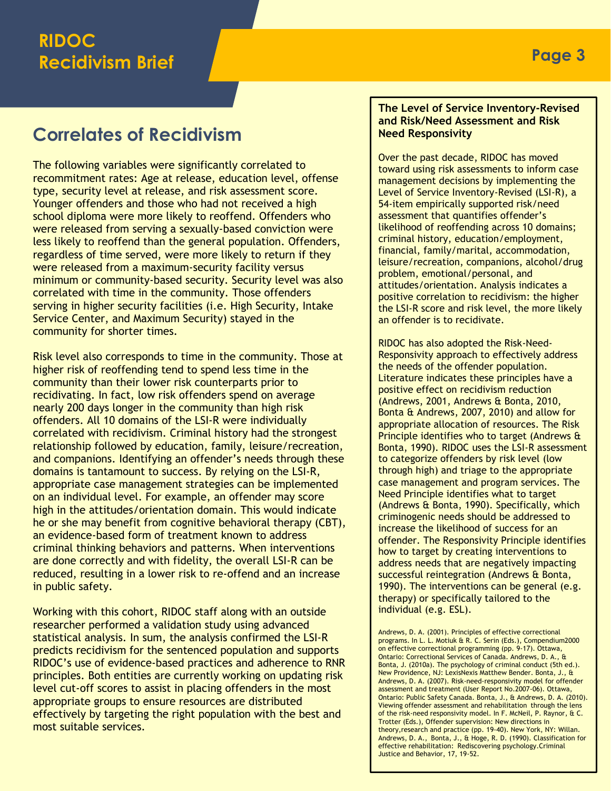### **Correlates of Recidivism**

The following variables were significantly correlated to recommitment rates: Age at release, education level, offense type, security level at release, and risk assessment score. Younger offenders and those who had not received a high school diploma were more likely to reoffend. Offenders who were released from serving a sexually-based conviction were less likely to reoffend than the general population. Offenders, regardless of time served, were more likely to return if they were released from a maximum-security facility versus minimum or community-based security. Security level was also correlated with time in the community. Those offenders serving in higher security facilities (i.e. High Security, Intake Service Center, and Maximum Security) stayed in the community for shorter times.

Risk level also corresponds to time in the community. Those at higher risk of reoffending tend to spend less time in the community than their lower risk counterparts prior to recidivating. In fact, low risk offenders spend on average nearly 200 days longer in the community than high risk offenders. All 10 domains of the LSI-R were individually correlated with recidivism. Criminal history had the strongest relationship followed by education, family, leisure/recreation, and companions. Identifying an offender's needs through these domains is tantamount to success. By relying on the LSI-R, appropriate case management strategies can be implemented on an individual level. For example, an offender may score high in the attitudes/orientation domain. This would indicate he or she may benefit from cognitive behavioral therapy (CBT), an evidence-based form of treatment known to address criminal thinking behaviors and patterns. When interventions are done correctly and with fidelity, the overall LSI-R can be reduced, resulting in a lower risk to re-offend and an increase in public safety.

Working with this cohort, RIDOC staff along with an outside researcher performed a validation study using advanced statistical analysis. In sum, the analysis confirmed the LSI-R predicts recidivism for the sentenced population and supports RIDOC's use of evidence-based practices and adherence to RNR principles. Both entities are currently working on updating risk level cut-off scores to assist in placing offenders in the most appropriate groups to ensure resources are distributed effectively by targeting the right population with the best and most suitable services.

#### **The Level of Service Inventory-Revised and Risk/Need Assessment and Risk Need Responsivity**

Over the past decade, RIDOC has moved toward using risk assessments to inform case management decisions by implementing the Level of Service Inventory-Revised (LSI-R), a 54-item empirically supported risk/need assessment that quantifies offender's likelihood of reoffending across 10 domains; criminal history, education/employment, financial, family/marital, accommodation, leisure/recreation, companions, alcohol/drug problem, emotional/personal, and attitudes/orientation. Analysis indicates a positive correlation to recidivism: the higher the LSI-R score and risk level, the more likely an offender is to recidivate.

RIDOC has also adopted the Risk-Need-Responsivity approach to effectively address the needs of the offender population. Literature indicates these principles have a positive effect on recidivism reduction (Andrews, 2001, Andrews & Bonta, 2010, Bonta & Andrews, 2007, 2010) and allow for appropriate allocation of resources. The Risk Principle identifies who to target (Andrews & Bonta, 1990). RIDOC uses the LSI-R assessment to categorize offenders by risk level (low through high) and triage to the appropriate case management and program services. The Need Principle identifies what to target (Andrews & Bonta, 1990). Specifically, which criminogenic needs should be addressed to increase the likelihood of success for an offender. The Responsivity Principle identifies how to target by creating interventions to address needs that are negatively impacting successful reintegration (Andrews & Bonta, 1990). The interventions can be general (e.g. therapy) or specifically tailored to the individual (e.g. ESL).

Andrews, D. A. (2001). Principles of effective correctional programs. In L. L. Motiuk & R. C. Serin (Eds.), Compendium2000 on effective correctional programming (pp. 9-17). Ottawa, Ontario: Correctional Services of Canada. Andrews, D. A., & Bonta, J. (2010a). The psychology of criminal conduct (5th ed.). New Providence, NJ: LexisNexis Matthew Bender. Bonta, J., & Andrews, D. A. (2007). Risk-need-responsivity model for offender assessment and treatment (User Report No.2007-06). Ottawa, Ontario: Public Safety Canada. Bonta, J., & Andrews, D. A. (2010). Viewing offender assessment and rehabilitation through the lens of the risk-need responsivity model. In F. McNeil, P. Raynor, & C. Trotter (Eds.), Offender supervision: New directions in theory,research and practice (pp. 19-40). New York, NY: Willan. Andrews, D. A., Bonta, J., & Hoge, R. D. (1990). Classification for effective rehabilitation: Rediscovering psychology.Criminal Justice and Behavior, 17, 19-52.